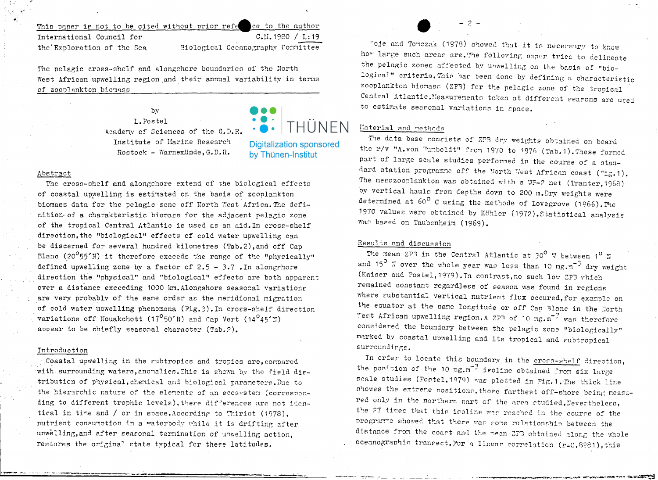#### This paper is not to be cited without prior refe ee to the author  $C.II.1980 / L:19$ International Council for Biological Cceanography Committee the Exploration of the Sea

The pelagic cross-shelf and alongshore boundaries of the North West African upwelling region and their annual variability in terms of zoonlankton biomass

> L.Postel Academy of Sciences of the G.D.R. Institute of Marine Research Rostock - Warnemünde. G.D.R.

 $bv$ 

## Abstract

The cross-shelf and alongshore extend of the biological effects of coastal upwelling is estimated on the basis of zooplankton biomass data for the pelagic zone off North West Africa. The definition of a charakteristic biomass for the adjacent pelagic zone of the tropical Central Atlantic is used as an aid. In cross-shelf direction, the "biological" effects of cold water upwelling can be discerned for several hundred kilometres (Tab.2), and off Cap Blanc (20<sup>°</sup>55'N) it therefore exceeds the range of the "physically" defined upwelling zone by a factor of  $2.5 - 3.7$ . In along chore direction the "physical" and "biological" effects are both apparent over a distance exceeding 1000 km. Alongshore seasonal variations are very probably of the same order as the meridional migration of cold water upwelling phenomena (Fig. 3). In cross-shelf direction variations off Nouakchott ( $17^{\circ}50'$ N) and Cap Vert ( $14^{\circ}45'$ N) appear to be chiefly seasonal character (Tab.2).

### Introduction

Coastal upwelling in the subtropics and tropics are, compared with surrounding waters, anomalies. This is shown by the field dirtribution of physical, chemical and biological parameters. Due to the hierarchic nature of the elements of an ecosystem (corresponding to different trophic levels), there differences are not identical in time and / or in space. According to Thiriot (1978), nutrient consumption in a waterbody while it is drifting after unwelling, and after seasonal termination of unwelling action. restores the original state typical for these latitudes.

Foie and Tomezak (1978) showed that it is necessary to know how large such areas are. The following paper tries to delineate the pelagic zones affected by unwelling on the basis of "biological" criteria. This has been done by defining a characteristic zooplankton biomass (ZPB) for the pelagic zone of the tropical Central Atlantic. Measurements taken at different seasons are used to estimate searonal variations in space.

# Material and methods

THUNFN

**Digitalization sponsored** 

by Thünen-Institut

The data base consists of ZPB dry weights obtained on board the r/v "A.von Uumboldt" from 1970 to 1976 (Tab.1). These formed part of large scale studies performed in the course of a standard station programme off the North West African coast ("ig.1). The mesozooplankton was obtained with a WP-2 net (Tranter, 1968) by vertical hauls from depths down to 200 m.Dry weights were determined at  $60^{\circ}$  C using the methode of Lovegrove (1966). The 1970 values were obtained by Köhler (1972). Statistical analysis was based on Taubenheim (1969).

# Results and discussion

The mean ZPR in the Central Atlantic at 30<sup>0</sup> W between 1<sup>0</sup> N and 15<sup>0</sup> N over the whole year was less than 10 mg.m<sup>-3</sup> dry weight (Kaiser and Postel, 1979). In contrast, no such low ZP3 which remained constant regardless of season was found in regions where substantial vertical nutrient flux occured, for example on the equator at the same longitude or off Cap Blanc in the North "est African upwelling region. A ZPR of 10 mg.m<sup>-2</sup> was therefore considered the boundary between the pelagic zone "biologically" marked by coastal upwelling and its tropical and subtropical surroundings.

In order to locate this boundary in the cross-shelf direction, the position of the 10 mg.m<sup>-3</sup> isoline obtained from six large scale studies (Fostel, 1979) was plotted in Fig. 1. The thick line showes the extreme positions, those farthest off-shore being measured only in the northern part of the area studied. Nevertheless, the 27 times that this isoline was reached in the course of the programme showed that there was some relationship between the distance from the coast and the mean 2FB obtained along the whole oceanographic transect. For a linear correlation (r=0.8981), this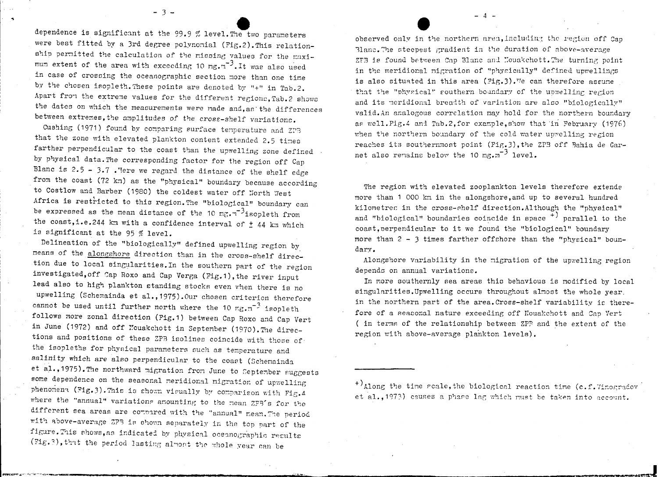dependence is significant at the 99.9 % level.The two parameters were best fitted by a 3rd degree polynomial (Fig.2). This relationship permitted the calculation of the missing values for the maximum extent of the area with exceeding 10 mg. $\pi^{-3}$ . It was also used in case of crossing the oceanographic section more than one time by the chosen isopleth. These points are denoted by "+" in Tab.2. Apart from the extreme values for the different regions, Tab.2 shows the dates on which the measurements were made and, as the differences between extremes, the amplitudes of the cross-shelf variations.

 $\frac{1}{3}$ .

Cushing (1971) found by comparing surface temperature and ZPB that the zone with elevated plankton content extended 2.5 times farther perpendicular to the coast than the upwelling zone defined by physical data.The corresponding factor for the region off Cap Blanc is  $2.5 - 3.7$  . Tere we regard the distance of the shelf edge from the coast (72 km) as the "physical" boundary because according to Costlow and Barber (1980) the coldest water off North West Africa is restricted to this region. The "biological" boundary can be expressed as the mean distance of the 10 mg. $\pi^{-3}$ isopleth from the coast, i.e. 244 km with a confidence interval of  $\pm$  44 km which is significant at the 95  $%$  level.

Delineation of the "biologically" defined upwelling region by means of the alongshore direction than in the cross-shelf direction due to local singularities. In the southern part of the region investigated,off Sap Roxo and Cap Verga (Fig.1),the river input lead also to high plankton standing stocks even when there is no upwelling (Schemainda et al., 1975). Our chosen criterion therefore cannot be used until further north where the 10  $mg_{\text{cm}}^{-3}$  isopleth follows more zonal direction (Pig.1) between Cap Roxo and Cap Vert in June (1972) and off Nouakchott in September (1970). The directions and positions of these ZPB isolines coincide with those of the isopleths for physical parameters such as temperature and salinity which are also perpendicular to the coast (Schemainda et al.,1975). The northward migration from June to September suggests some dependence on the seasonal meridional migration of upwelling phenomena (Fig.3). This is shown visually by comparison with Fig. 4 where the "annual" variations amounting to the mean  $ZFS$ 's for the different sea areas are compared with the "annual" mean. The period with above-average ZPB is shown separately in the top part of the figure. This shows, as indicated by physical oceanographic results (Fig.3), that the period lasting almost the whole year can be

observed only in the northern area, including the region off Cap Blanc. The steepest gradient in the duration of above-average ZFB is found between Cap Blanc and Nouakchott. The turning point in the meridional migration of "physically" defined upwellings is also situated in this area (Fig. 3). We can therefore assume that the "physical" gouthern boundary of the upwelling region and its meridional breadth of variation are also "biologically" valid. An analogous correlation may hold for the northern boundary as well.Pig.4 and Tab.2,for example, show that in Pebruary (1976) when the northern boundary of the cold water upwelling region reaches its southernmost point (Fig. 3), the ZPB off Bahia de Garnet also remains below the 10 mg.m<sup>-3</sup> level.

- 4 -

The region with elevated zooplankton levels therefore extende more than 1 000 km in the alongshore, and up to several hundred kilometres in the cross-shelf direction. Although the "physical" and "biological" boundaries coincide in space  $\overline{p}$  parallel to the coast, perpendicular to it we found the "biological" boundary More than 2 - 3 times farther offehore than the "physical" boundary.

Alongshore variability in the migration of the upwelling region depends on annual variations.

In more southernly sea areas this behavious is nodified by loeal singularities. Upwelling occurs throughout almost the whole year. in the northern part of the area. Cross-shelf variability is therefore of a seasonal nature exceeding off Nouakchott and Cap Vert ( in terms of the relationship between ZPP and the extent of the region with above-average plankton levels).

 $^{+})$ Along the time reale, the biological reaction time (c.f. 7inogradov et al., 1973) causes a phase lag which must be taken into account.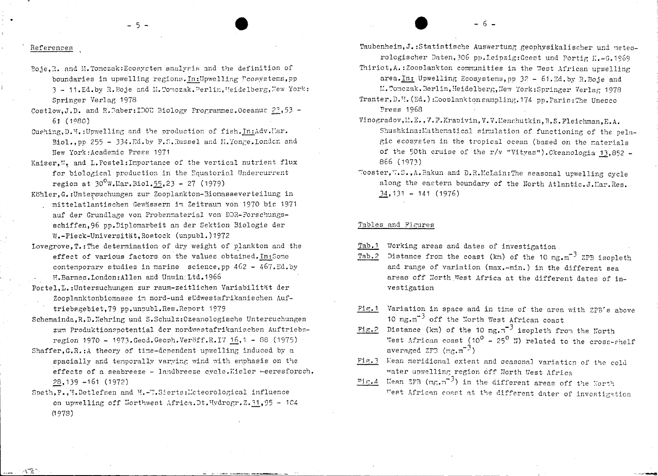$-6-$ 

#### References

 $\sim 2$ 

Boje. R. and M. Tomczak: Ecosystem analysis and the definition of boundaries in upwelling regions. In: Upwelling Fcosystems, pp 3 - 11.Ed.by R. Boje and M. Tomczak. Perlin, Weidelberg, New York:

 $-5 -$ 

- Springer Verlag 1978 Costlow.J.D. and R.Raber: IDOU Biology Programmes. Oceanus 23,53 - $61(1980)$
- Cushing, D. H. : Upwelling and the production of fish, In: Adv. Mar. Biol..pp 255 - 334.Ed.by F.S.Russel and H. Tonge. London and New York: Academic Press 1971
- Kaiser.". and L. Postel: Importance of the vertical nutrient flux for biological production in the Equatorial Undercurrent region at  $30^0$ W.Mar.Biol.55.23 - 27 (1979)
- Köhler.G.: Untersuchungen zur Zooplankton-Biomasseverteilung in mittelatlantischen Gewässern im Zeitraum von 1970 bis 1971 auf der Grundlage von Probenmaterial von DDR-Forschungsschiffen.96 pp.Diplomarbeit an der Sektion Biologie der W.-Pieck-Universität. Rostock (unpubl.) 1972
- Lovegrove, T.: The determination of dry weight of plankton and the effect of various factors on the values obtained. In: Some contemporary studies in marine science, pp  $462 - 467$ . Ed. by H.Barnes.London: Allen and Unwin: Ltd. 1966
- Postel. L.: Untersuchungen zur raum-zeitlichen Variabilität der Zooplanktonbiomasse im nord-und südwestafrikanischen Auftriebsgebiet.79 pp.unpubl.Res.Report 1979
- Schemainda, R.D. Nehring und S.Schulz: Ozeanologische Untersuchungen zum Produktionspotential der nordwestafrikanischen Auftriebsregion 1970 - 1973. Geod. Geoph. Veröff.R.IV 16.1 - 88 (1975)
- Shaffer. G.R.: A theory of time-dependent upwelling induced by a spacially and temporally varying wind with emphasis on the effects of a seabreeze - landbreeze cycle. Kieler -- eeresforsch.  $28,139 - 161$  (1972)
- Speth, P., H. Detlefsen and H.-W. Sierts: Meteorological influence on upwelling off Northwest Africa. Dt. Hydrogr. Z. 31, 95 - 104  $(1978)$

Taubenheim. J.: Statistische Auswertung geophysikalischer und meteorologischer Daten, 306 pp. Leipzig: Geest und Portig K.-G. 1969

Thiriot.A.:Zooplankton communities in the West African upwelling

- area. In: Upwelling Ecosystems. np 32 61. Ed. by R. Boje and
- M. Tomczak. Berlin, Heidelberg, New York: Springer Verlag 1978 Tranter, D. H. (Ed.): Zooplankton sampling, 174 pp. Paris: The Unesco Press 1968
- Vinogradov, M.E., V.F. Krapivin, V.V. Menshutkin, B.S. Fleishman, E.A. Shushkina: Mathematical simulation of functioning of the pelagic ecosystem in the tropical ocean (based on the materials of the 50th cruise of the r/v "Vitvas"). Ckeanologia 13,852 -866 (1973)
- "'ooster, W.S., A. Bakun and D.R. McLain: The seasonal upwelling cycle along the eastern boundary of the North Atlantic. J. Mar. Res.  $34,131 - 141 (1976)$

### Tables and Figures

- Working areas and dates of investigation Tab.1
- Distance from the coast (km) of the 10 mg.m<sup>-3</sup> ZPB isopleth Tab.2 and range of variation (max.-min.) in the different sea areas off North West Africa at the different dates of investigation
- Variation in space and in time of the area with ZPB's above  $Fix.1$ 10  $\text{mg.m}^{-3}$  off the North West African coast
- Fig. 2 Distance (km) of the 10 mg.m<sup>-3</sup> isopleth from the North West African coast (10<sup>0</sup> - 25<sup>0</sup> N) related to the cross-shelf averaged  $2F3$   $(mg.m^{-3})$
- Fig. 3 Mean meridional extent and seasonal variation of the cold water unwelling region off North West Africa
- Fig. 4 Mean 2FB  $(mr, n^{-3})$  in the different areas off the North West African coast at the different dater of investigation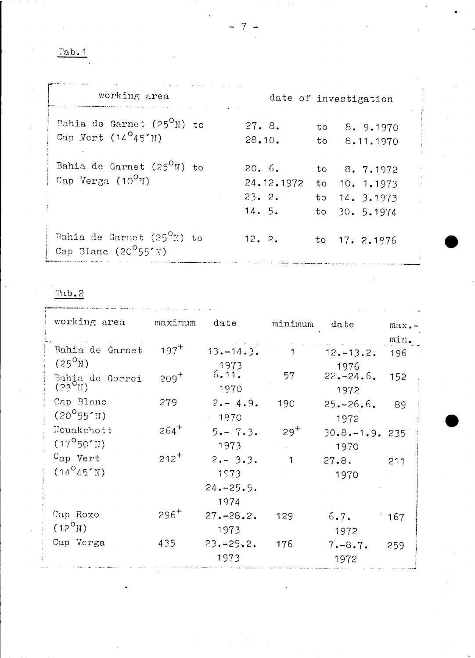Tab.1

| working area                                                                   |                                       | date of investigation |                                                                   |  |
|--------------------------------------------------------------------------------|---------------------------------------|-----------------------|-------------------------------------------------------------------|--|
| Bahia de Garnet (25 $O(N)$ to<br>Cap Vert $(14^045'$ N)                        | 27.8.<br>28.10.                       | to<br>to              | 8. 9.1970<br>8.11.1970                                            |  |
| Bahia de Garnet (25 $O(N)$ to<br>Cap Verga $(10^0)$                            | 20.6.<br>24.12.1972<br>23.2.<br>14.5. |                       | to 8.7.1972<br>to $10.1.1973$<br>to $14.3.1973$<br>to $30.5.1974$ |  |
| Bahia de Garnet (25 <sup>0</sup> N) to<br>Cap Blanc $(20^{\circ}55^{\prime}N)$ | 12.2.                                 |                       | to $17.2.1976$                                                    |  |

Tab.2

| working area                             | maximum   | date                                         | minimum      | $\det$                     | $max -$<br>min. |
|------------------------------------------|-----------|----------------------------------------------|--------------|----------------------------|-----------------|
| Bahia de Garnet<br>$(25^{\circ}N)$       | $197^{+}$ | $13 - 14.3$ .<br>1973                        |              | $12 - 13.2$ .<br>1976      | 196             |
| Bahia de Gorrei<br>$(23^{\circ}$ II)     | $209^{+}$ | 6.11.<br>1970                                | 57           | $22 - 24.6$ .<br>1972      | 152             |
| Cap Blanc<br>$(20^0 55^{\prime} M)$      | 279       | $2 - 4.9$ .<br>$-1970$                       | 190          | $25 - 26.6$ .<br>1972      | 89              |
| Nouakchott<br>$(17^{\circ}50^{\prime}H)$ | $264^{+}$ | $5 - 7.3$ .<br>1973                          | $29^{+}$     | $30.8 - 1.9$ . 235<br>1970 |                 |
| $Cap$ Vert<br>$(14^045'$ N)              | $212^{+}$ | $2 - 3.3$ .<br>1973<br>$24. - 25.5.$<br>1974 | $\mathbf{1}$ | 27.8.<br>1970              | 211             |
| Cap Roxo<br>$(12^{O}$ N)                 | $296^{+}$ | $27 - 28.2$<br>1973                          | 129          | 6.7.<br>1972               | $-167$          |
| Cap Verga                                | 435       | $23 - 25.2$ .<br>1973                        | 176          | $7 - 8.7$ .<br>1972        | 259             |

- 7 -

•